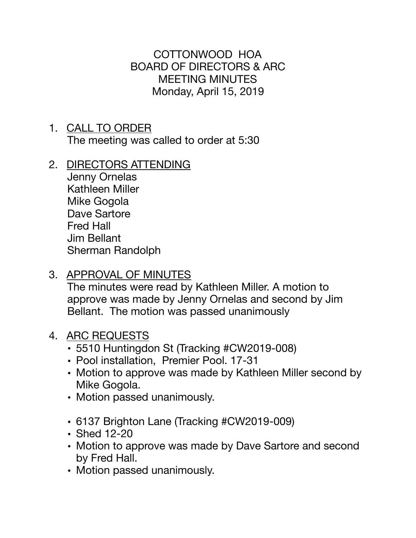COTTONWOOD HOA BOARD OF DIRECTORS & ARC MEETING MINUTES Monday, April 15, 2019

- 1. CALL TO ORDER The meeting was called to order at 5:30
- 2. DIRECTORS ATTENDING

Jenny Ornelas Kathleen Miller Mike Gogola Dave Sartore Fred Hall Jim Bellant Sherman Randolph

3. APPROVAL OF MINUTES

The minutes were read by Kathleen Miller. A motion to approve was made by Jenny Ornelas and second by Jim Bellant. The motion was passed unanimously

- 4. ARC REQUESTS
	- 5510 Huntingdon St (Tracking #CW2019-008)
	- Pool installation, Premier Pool. 17-31
	- Motion to approve was made by Kathleen Miller second by Mike Gogola.
	- Motion passed unanimously.
	- 6137 Brighton Lane (Tracking #CW2019-009)
	- Shed 12-20
	- Motion to approve was made by Dave Sartore and second by Fred Hall.
	- Motion passed unanimously.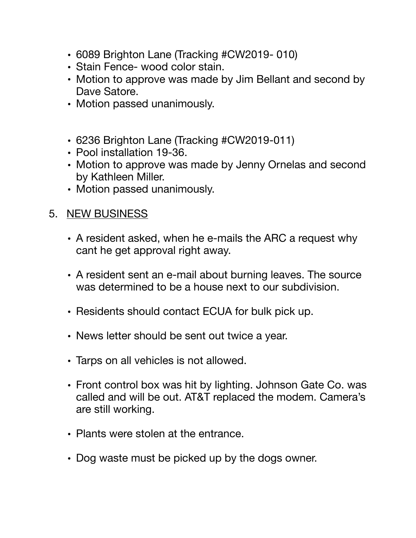- 6089 Brighton Lane (Tracking #CW2019- 010)
- Stain Fence- wood color stain.
- Motion to approve was made by Jim Bellant and second by Dave Satore.
- Motion passed unanimously.
- 6236 Brighton Lane (Tracking #CW2019-011)
- Pool installation 19-36.
- Motion to approve was made by Jenny Ornelas and second by Kathleen Miller.
- Motion passed unanimously.

## 5. NEW BUSINESS

- A resident asked, when he e-mails the ARC a request why cant he get approval right away.
- A resident sent an e-mail about burning leaves. The source was determined to be a house next to our subdivision.
- Residents should contact ECUA for bulk pick up.
- News letter should be sent out twice a year.
- Tarps on all vehicles is not allowed.
- Front control box was hit by lighting. Johnson Gate Co. was called and will be out. AT&T replaced the modem. Camera's are still working.
- Plants were stolen at the entrance.
- Dog waste must be picked up by the dogs owner.